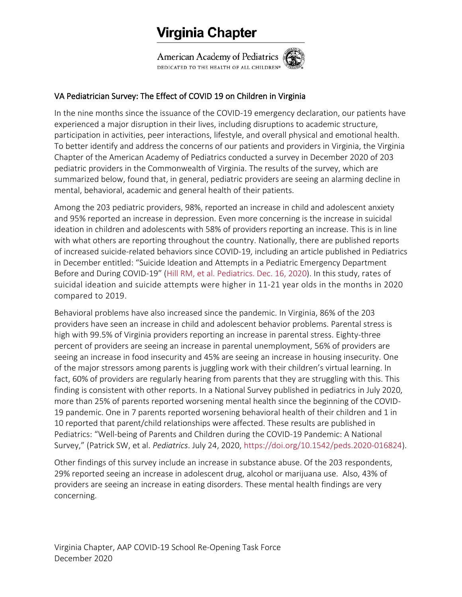## Virginia Chapter

American Academy of Pediatrics DEDICATED TO THE HEALTH OF ALL CHILDREN®

## VA Pediatrician Survey: The Effect of COVID 19 on Children in Virginia

In the nine months since the issuance of the COVID-19 emergency declaration, our patients have experienced a major disruption in their lives, including disruptions to academic structure, participation in activities, peer interactions, lifestyle, and overall physical and emotional health. To better identify and address the concerns of our patients and providers in Virginia, the Virginia Chapter of the American Academy of Pediatrics conducted a survey in December 2020 of 203 pediatric providers in the Commonwealth of Virginia. The results of the survey, which are summarized below, found that, in general, pediatric providers are seeing an alarming decline in mental, behavioral, academic and general health of their patients.

Among the 203 pediatric providers, 98%, reported an increase in child and adolescent anxiety and 95% reported an increase in depression. Even more concerning is the increase in suicidal ideation in children and adolescents with 58% of providers reporting an increase. This is in line with what others are reporting throughout the country. Nationally, there are published reports of increased suicide-related behaviors since COVID-19, including an article published in Pediatrics in December entitled: "Suicide Ideation and Attempts in a Pediatric Emergency Department Before and During COVID-19" (Hill RM, et al. [Pediatrics.](https://pediatrics.aappublications.org/content/early/2020/12/15/peds.2020-029280) Dec. 16, 2020). In this study, rates of suicidal ideation and suicide attempts were higher in 11-21 year olds in the months in 2020 compared to 2019.

Behavioral problems have also increased since the pandemic. In Virginia, 86% of the 203 providers have seen an increase in child and adolescent behavior problems. Parental stress is high with 99.5% of Virginia providers reporting an increase in parental stress. Eighty-three percent of providers are seeing an increase in parental unemployment, 56% of providers are seeing an increase in food insecurity and 45% are seeing an increase in housing insecurity. One of the major stressors among parents is juggling work with their children's virtual learning. In fact, 60% of providers are regularly hearing from parents that they are struggling with this. This finding is consistent with other reports. In a National Survey published in pediatrics in July 2020, more than 25% of parents reported worsening mental health since the beginning of the COVID-19 pandemic. One in 7 parents reported worsening behavioral health of their children and 1 in 10 reported that parent/child relationships were affected. These results are published in Pediatrics: "Well-being of Parents and Children during the COVID-19 Pandemic: A National Survey," (Patrick SW, et al. *Pediatrics*. July 24, 2020, [https://doi.org/10.1542/peds.2020-016824\)](https://doi.org/10.1542/peds.2020-016824).

Other findings of this survey include an increase in substance abuse. Of the 203 respondents, 29% reported seeing an increase in adolescent drug, alcohol or marijuana use. Also, 43% of providers are seeing an increase in eating disorders. These mental health findings are very concerning.